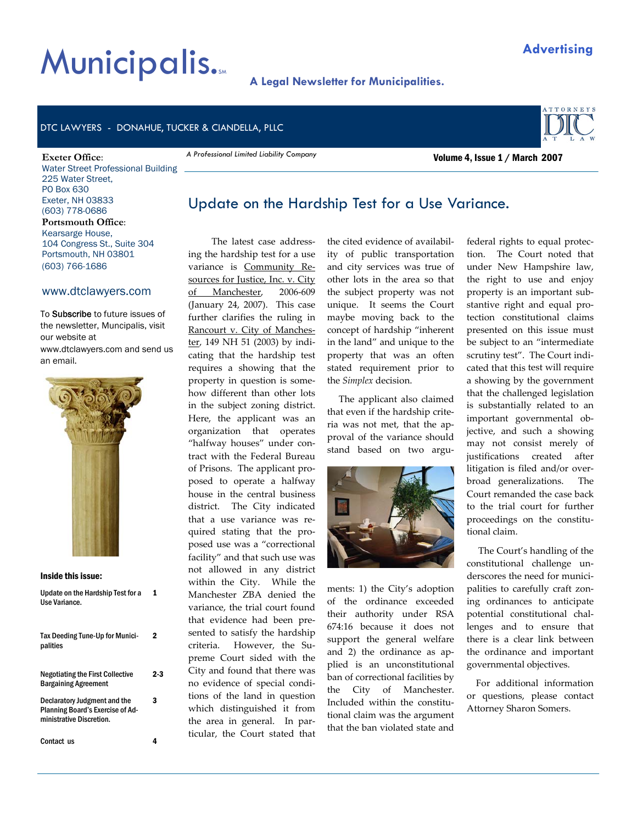# **Municipalis.**

### **A Legal Newsletter for Municipalities.**

#### DTC LAWYERS - DONAHUE, TUCKER & CIANDELLA, PLLC

#### **Exeter Office**:

Water Street Professional Building 225 Water Street, PO Box 630 Exeter, NH 03833 (603) 778-0686 **Portsmouth Office**: Kearsarge House, 104 Congress St., Suite 304 Portsmouth, NH 03801 (603) 766-1686

#### www.dtclawyers.com

To Subscribe to future issues of the newsletter, Muncipalis, visit our website at www.dtclawyers.com and send us an email.



#### Inside this issue:

| Update on the Hardship Test for a<br>Use Variance.                                                  |     |
|-----------------------------------------------------------------------------------------------------|-----|
| Tax Deeding Tune-Up for Munici-<br>palities                                                         | 2   |
| <b>Negotiating the First Collective</b><br><b>Bargaining Agreement</b>                              | 2-3 |
| Declaratory Judgment and the<br><b>Planning Board's Exercise of Ad-</b><br>ministrative Discretion. | 3   |
| Contact us                                                                                          |     |

# Update on the Hardship Test for a Use Variance.

 The latest case address‐ ing the hardship test for a use variance is Community Resources for Justice, Inc. v. City of Manchester, 2006‐609 (January 24, 2007). This case further clarifies the ruling in Rancourt v. City of Manches‐ ter, 149 NH 51 (2003) by indicating that the hardship test requires a showing that the property in question is some‐ how different than other lots in the subject zoning district. Here, the applicant was an organization that operates "halfway houses" under con‐ tract with the Federal Bureau of Prisons. The applicant pro‐ posed to operate a halfway house in the central business district. The City indicated that a use variance was re‐ quired stating that the pro‐ posed use was a "correctional facility" and that such use was not allowed in any district within the City. While the Manchester ZBA denied the variance, the trial court found that evidence had been pre‐ sented to satisfy the hardship criteria. However, the Supreme Court sided with the City and found that there was no evidence of special condi‐ tions of the land in question which distinguished it from the area in general. In particular, the Court stated that

*A Professional Limited Liability Company* 

the cited evidence of availabil‐ ity of public transportation and city services was true of other lots in the area so that the subject property was not unique. It seems the Court maybe moving back to the concept of hardship "inherent in the land" and unique to the property that was an often stated requirement prior to the *Simplex* decision.

 The applicant also claimed that even if the hardship crite‐ ria was not met, that the ap‐ proval of the variance should stand based on two argu‐



ments: 1) the City's adoption of the ordinance exceeded their authority under RSA 674:16 because it does not support the general welfare and 2) the ordinance as applied is an unconstitutional ban of correctional facilities by the City of Manchester. Included within the constitu‐ tional claim was the argument that the ban violated state and

federal rights to equal protec‐ tion. The Court noted that under New Hampshire law, the right to use and enjoy property is an important sub‐ stantive right and equal pro‐ tection constitutional claims presented on this issue must be subject to an "intermediate scrutiny test". The Court indicated that this test will require a showing by the government that the challenged legislation is substantially related to an important governmental ob‐ jective, and such a showing may not consist merely of justifications created after litigation is filed and/or over‐ broad generalizations. The Court remanded the case back to the trial court for further proceedings on the constitu‐ tional claim.

 The Court's handling of the constitutional challenge un‐ derscores the need for municipalities to carefully craft zon‐ ing ordinances to anticipate potential constitutional chal‐ lenges and to ensure that there is a clear link between the ordinance and important governmental objectives.

 For additional information or questions, please contact Attorney Sharon Somers.

## Volume 4, Issue 1 / March 2007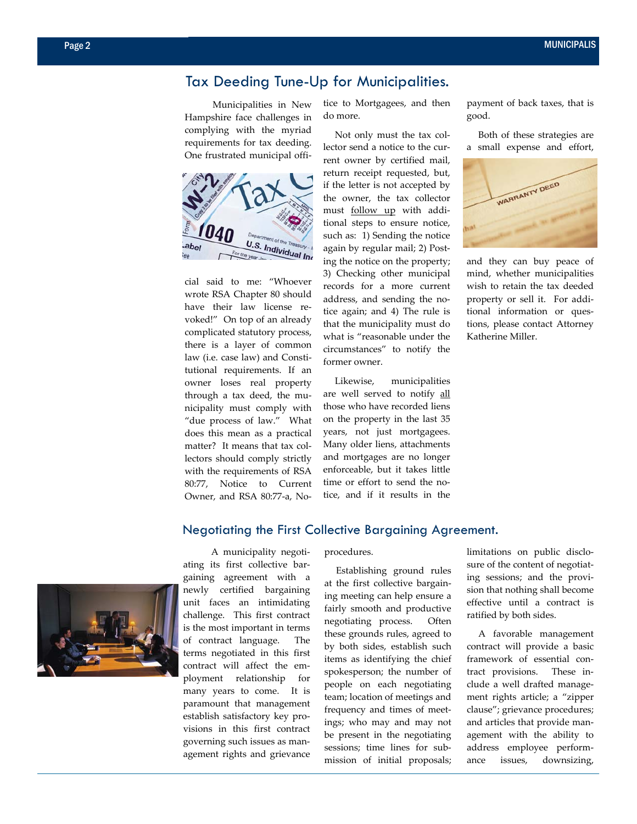## Tax Deeding Tune-Up for Municipalities.

 Municipalities in New Hampshire face challenges in complying with the myriad requirements for tax deeding. One frustrated municipal offi‐



cial said to me: "Whoever wrote RSA Chapter 80 should have their law license revoked!" On top of an already complicated statutory process, there is a layer of common law (i.e. case law) and Consti‐ tutional requirements. If an owner loses real property through a tax deed, the mu‐ nicipality must comply with "due process of law." What does this mean as a practical matter? It means that tax collectors should comply strictly with the requirements of RSA 80:77, Notice to Current Owner, and RSA 80:77‐a, No‐

tice to Mortgagees, and then do more.

 Not only must the tax col‐ lector send a notice to the cur‐ rent owner by certified mail, return receipt requested, but, if the letter is not accepted by the owner, the tax collector must follow up with addi‐ tional steps to ensure notice, such as: 1) Sending the notice again by regular mail; 2) Post‐ ing the notice on the property; 3) Checking other municipal records for a more current address, and sending the no‐ tice again; and 4) The rule is that the municipality must do what is "reasonable under the circumstances" to notify the former owner.

 Likewise, municipalities are well served to notify all those who have recorded liens on the property in the last 35 years, not just mortgagees. Many older liens, attachments and mortgages are no longer enforceable, but it takes little time or effort to send the notice, and if it results in the payment of back taxes, that is good.

 Both of these strategies are a small expense and effort,



and they can buy peace of mind, whether municipalities wish to retain the tax deeded property or sell it. For additional information or ques‐ tions, please contact Attorney Katherine Miller.



 A municipality negoti‐ ating its first collective bar‐ gaining agreement with a newly certified bargaining unit faces an intimidating challenge. This first contract is the most important in terms of contract language. The terms negotiated in this first contract will affect the employment relationship for many years to come. It is paramount that management establish satisfactory key pro‐ visions in this first contract governing such issues as man‐ agement rights and grievance

procedures.

Negotiating the First Collective Bargaining Agreement.

 Establishing ground rules at the first collective bargain‐ ing meeting can help ensure a fairly smooth and productive negotiating process. Often these grounds rules, agreed to by both sides, establish such items as identifying the chief spokesperson; the number of people on each negotiating team; location of meetings and frequency and times of meet‐ ings; who may and may not be present in the negotiating sessions; time lines for sub‐ mission of initial proposals; limitations on public disclo‐ sure of the content of negotiating sessions; and the provi‐ sion that nothing shall become effective until a contract is ratified by both sides.

 A favorable management contract will provide a basic framework of essential contract provisions. These include a well drafted manage‐ ment rights article; a "zipper clause"; grievance procedures; and articles that provide man‐ agement with the ability to address employee perform‐ ance issues, downsizing,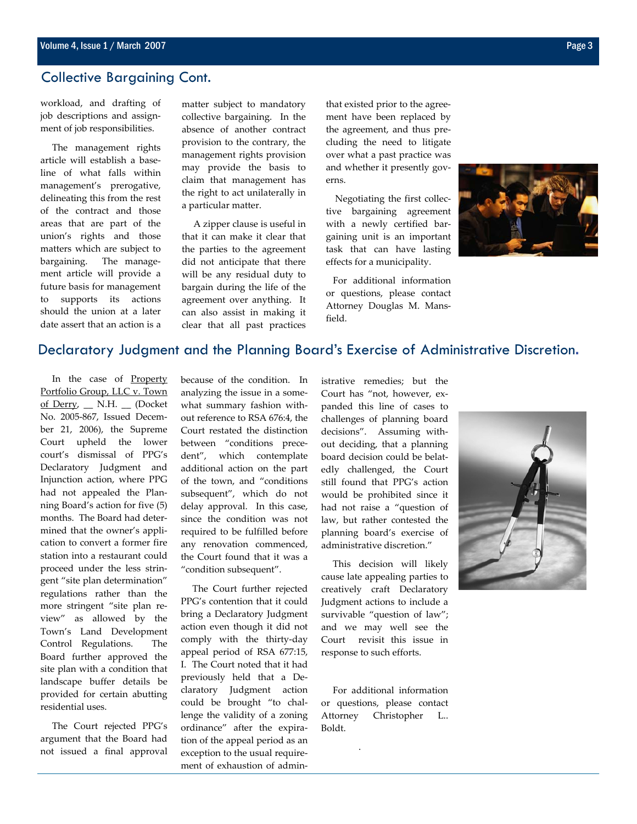### Collective Bargaining Cont.

workload, and drafting of job descriptions and assign‐ ment of job responsibilities.

 The management rights article will establish a base‐ line of what falls within management's prerogative, delineating this from the rest of the contract and those areas that are part of the union's rights and those matters which are subject to bargaining. The management article will provide a future basis for management to supports its actions should the union at a later date assert that an action is a matter subject to mandatory collective bargaining. In the absence of another contract provision to the contrary, the management rights provision may provide the basis to claim that management has the right to act unilaterally in a particular matter.

 A zipper clause is useful in that it can make it clear that the parties to the agreement did not anticipate that there will be any residual duty to bargain during the life of the agreement over anything. It can also assist in making it clear that all past practices

that existed prior to the agree‐ ment have been replaced by the agreement, and thus pre‐ cluding the need to litigate over what a past practice was and whether it presently gov‐ erns.

 Negotiating the first collec‐ tive bargaining agreement with a newly certified bargaining unit is an important task that can have lasting effects for a municipality.

 For additional information or questions, please contact Attorney Douglas M. Mans‐ field.



## Declaratory Judgment and the Planning Board's Exercise of Administrative Discretion.

 In the case of Property Portfolio Group, LLC v. Town of Derry, \_\_ N.H. \_\_ (Docket No. 2005‐867, Issued Decem‐ ber 21, 2006), the Supreme Court upheld the lower court's dismissal of PPG's Declaratory Judgment and Injunction action, where PPG had not appealed the Planning Board's action for five (5) months. The Board had deter‐ mined that the owner's appli‐ cation to convert a former fire station into a restaurant could proceed under the less strin‐ gent "site plan determination" regulations rather than the more stringent "site plan re‐ view" as allowed by the Town's Land Development Control Regulations. The Board further approved the site plan with a condition that landscape buffer details be provided for certain abutting residential uses.

 The Court rejected PPG's argument that the Board had not issued a final approval because of the condition. In analyzing the issue in a some‐ what summary fashion with‐ out reference to RSA 676:4, the Court restated the distinction between "conditions prece‐ dent", which contemplate additional action on the part of the town, and "conditions subsequent", which do not delay approval. In this case, since the condition was not required to be fulfilled before any renovation commenced, the Court found that it was a "condition subsequent".

 The Court further rejected PPG's contention that it could bring a Declaratory Judgment action even though it did not comply with the thirty‐day appeal period of RSA 677:15, I. The Court noted that it had previously held that a De‐ claratory Judgment action could be brought "to chal‐ lenge the validity of a zoning ordinance" after the expira‐ tion of the appeal period as an exception to the usual require‐ ment of exhaustion of administrative remedies; but the Court has "not, however, expanded this line of cases to challenges of planning board decisions". Assuming without deciding, that a planning board decision could be belat‐ edly challenged, the Court still found that PPG's action would be prohibited since it had not raise a "question of law, but rather contested the planning board's exercise of administrative discretion."

 This decision will likely cause late appealing parties to creatively craft Declaratory Judgment actions to include a survivable "question of law"; and we may well see the Court revisit this issue in response to such efforts.

 For additional information or questions, please contact Attorney Christopher L.. Boldt.

.